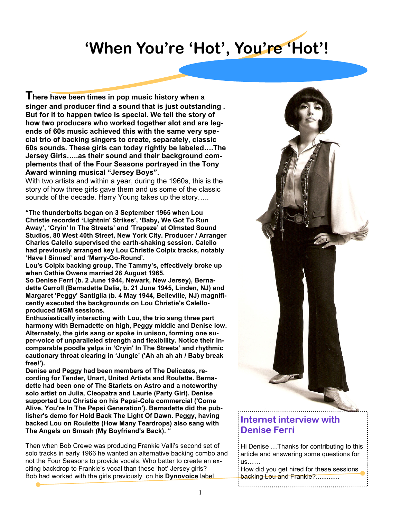## 'When You're 'Hot', You're 'Hot'!

There have been times in pop music history when a singer and producer find a sound that is just outstanding . But for it to happen twice is special. We tell the story of how two producers who worked together alot and are legends of 60s music achieved this with the same very special trio of backing singers to create, separately, classic 60s sounds. These girls can today rightly be labeled….The Jersey Girls…..as their sound and their background complements that of the Four Seasons portrayed in the Tony Award winning musical "Jersey Boys".

With two artists and within a year, during the 1960s, this is the story of how three girls gave them and us some of the classic sounds of the decade. Harry Young takes up the story…..

"The thunderbolts began on 3 September 1965 when Lou Christie recorded 'Lightnin' Strikes', 'Baby, We Got To Run Away', 'Cryin' In The Streets' and 'Trapeze' at Olmsted Sound Studios, 80 West 40th Street, New York City. Producer / Arranger Charles Calello supervised the earth-shaking session. Calello had previously arranged key Lou Christie Colpix tracks, notably 'Have I Sinned' and 'Merry-Go-Round'.

Lou's Colpix backing group, The Tammy's, effectively broke up when Cathie Owens married 28 August 1965.

So Denise Ferri (b. 2 June 1944, Newark, New Jersey), Bernadette Carroll (Bernadette Dalia, b. 21 June 1945, Linden, NJ) and Margaret 'Peggy' Santiglia (b. 4 May 1944, Belleville, NJ) magnificently executed the backgrounds on Lou Christie's Calelloproduced MGM sessions.

Enthusiastically interacting with Lou, the trio sang three part harmony with Bernadette on high, Peggy middle and Denise low. Alternately, the girls sang or spoke in unison, forming one super-voice of unparalleled strength and flexibility. Notice their incomparable poodle yelps in 'Cryin' In The Streets' and rhythmic cautionary throat clearing in 'Jungle' ('Ah ah ah ah / Baby break free!').

Denise and Peggy had been members of The Delicates, recording for Tender, Unart, United Artists and Roulette. Bernadette had been one of The Starlets on Astro and a noteworthy solo artist on Julia, Cleopatra and Laurie (Party Girl). Denise supported Lou Christie on his Pepsi-Cola commercial ('Come Alive, You're In The Pepsi Generation'). Bernadette did the publisher's demo for Hold Back The Light Of Dawn. Peggy, having backed Lou on Roulette (How Many Teardrops) also sang with The Angels on Smash (My Boyfriend's Back). "

Then when Bob Crewe was producing Frankie Valli's second set of solo tracks in early 1966 he wanted an alternative backing combo and not the Four Seasons to provide vocals. Who better to create an exciting backdrop to Frankie's vocal than these 'hot' Jersey girls? Bob had worked with the girls previously on his Dynovoice label

## Internet interview with

## Hi Denise …Thanks for contributing to this article and answering some questions for

Denise Ferri

us…… How did you get hired for these sessions backing Lou and Frankie?.............

.................................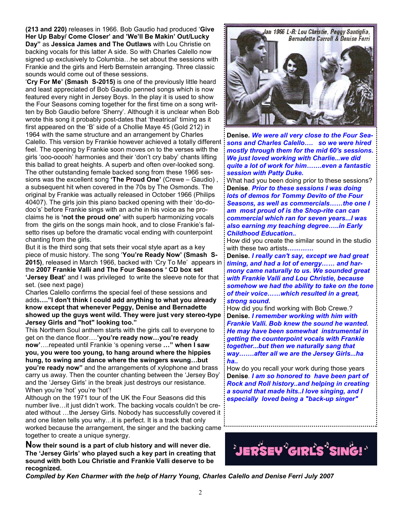(213 and 220) releases in 1966. Bob Gaudio had produced 'Give Her Up Baby/ Come Closer' and 'We'll Be Makin' Out/Lucky Day" as Jessica James and The Outlaws with Lou Christie on backing vocals for this latter A side. So with Charles Calello now signed up exclusively to Columbia…he set about the sessions with Frankie and the girls and Herb Bernstein arranging. Three classic sounds would come out of these sessions.

'Cry For Me' (Smash S-2015) is one of the previously little heard and least appreciated of Bob Gaudio penned songs which is now featured every night in Jersey Boys. In the play it is used to show the Four Seasons coming together for the first time on a song written by Bob Gaudio before 'Sherry'. Although it is unclear when Bob wrote this song it probably post-dates that 'theatrical' timing as it first appeared on the 'B' side of a Chollie Maye 45 (Gold 212) in 1964 with the same structure and an arrangement by Charles Calello. This version by Frankie however achieved a totally different feel. The opening by Frankie soon moves on to the verses with the girls 'ooo-ooooh' harmonies and their 'don't cry baby' chants lifting this ballad to great heights. A superb and often over-looked song. The other outstanding female backed song from these 1966 sessions was the excellent song 'The Proud One' (Crewe - Gaudio), a subsequent hit when covered in the 70s by The Osmonds. The original by Frankie was actually released in October 1966 (Philips 40407). The girls join this piano backed opening with their 'do-dodoo's' before Frankie sings with an ache in his voice as he proclaims he is 'not the proud one' with superb harmonizing vocals from the girls on the songs main hook, and to close Frankie's falsetto rises up before the dramatic vocal ending with counterpoint chanting from the girls.

But it is the third song that sets their vocal style apart as a key piece of music history. The song 'You're Ready Now' (Smash S-2015), released in March 1966, backed with 'Cry To Me' appears in the 2007 Frankie Valli and The Four Seasons ' CD box set 'Jersey Beat' and I was privileged to write the sleeve note for that set. (see next page)

Charles Calello confirms the special feel of these sessions and adds…."I don't think I could add anything to what you already know except that whenever Peggy, Denise and Bernadette showed up the guys went wild. They were just very stereo-type Jersey Girls and "hot" looking too."

This Northern Soul anthem starts with the girls call to everyone to get on the dance floor....'you're ready now...you're ready now'....repeated until Frankie 's opening verse ..." when I saw you, you were too young, to hang around where the hippies hung, to swing and dance where the swingers swung…but you're ready now" and the arrangements of xylophone and brass carry us away. Then the counter chanting between the 'Jersey Boy' and the 'Jersey Girls' in the break just destroys our resistance. When you're 'hot' you're 'hot'!

Although on the 1971 tour of the UK the Four Seasons did this number live…it just didn't work. The backing vocals couldn't be created without …the Jersey Girls. Nobody has successfully covered it and one listen tells you why…it is perfect. It is a track that only worked because the arrangement, the singer and the backing came together to create a unique synergy.

Now their sound is a part of club history and will never die. The 'Jersey Girls' who played such a key part in creating that sound with both Lou Christie and Frankie Valli deserve to be recognized.



Denise. We were all very close to the Four Seasons and Charles Calello…. so we were hired mostly through them for the mid 60's sessions. We just loved working with Charlie...we did quite a lot of work for him…….even a fantastic session with Patty Duke.

What had you been doing prior to these sessions? Denise. *Prior to these sessions I was doing* lots of demos for Tommy Devito of the Four Seasons, as well as commercials……the one I am most proud of is the Shop-rite can can commercial which ran for seven years...I was also earning my teaching degree…..in Early Childhood Education..

How did you create the similar sound in the studio with these two artists............

Denise. I really can't say, except we had great timing, and had a lot of energy…… and harmony came naturally to us. We sounded great with Frankie Valli and Lou Christie, because somehow we had the ability to take on the tone of their voice……which resulted in a great, strong sound.

How did you find working with Bob Crewe.? Denise. I remember working with him with Frankie Valli. Bob knew the sound he wanted. He may have been somewhat instrumental in getting the counterpoint vocals with Frankie together...but then we naturally sang that way…….after all we are the Jersey Girls...ha ha..

How do you recall your work during those years Denise. I am so honored to have been part of Rock and Roll history..and helping in creating a sound that made hits..I love singing, and I especially loved being a "back-up singer"



Compiled by Ken Charmer with the help of Harry Young, Charles Calello and Denise Ferri July 2007